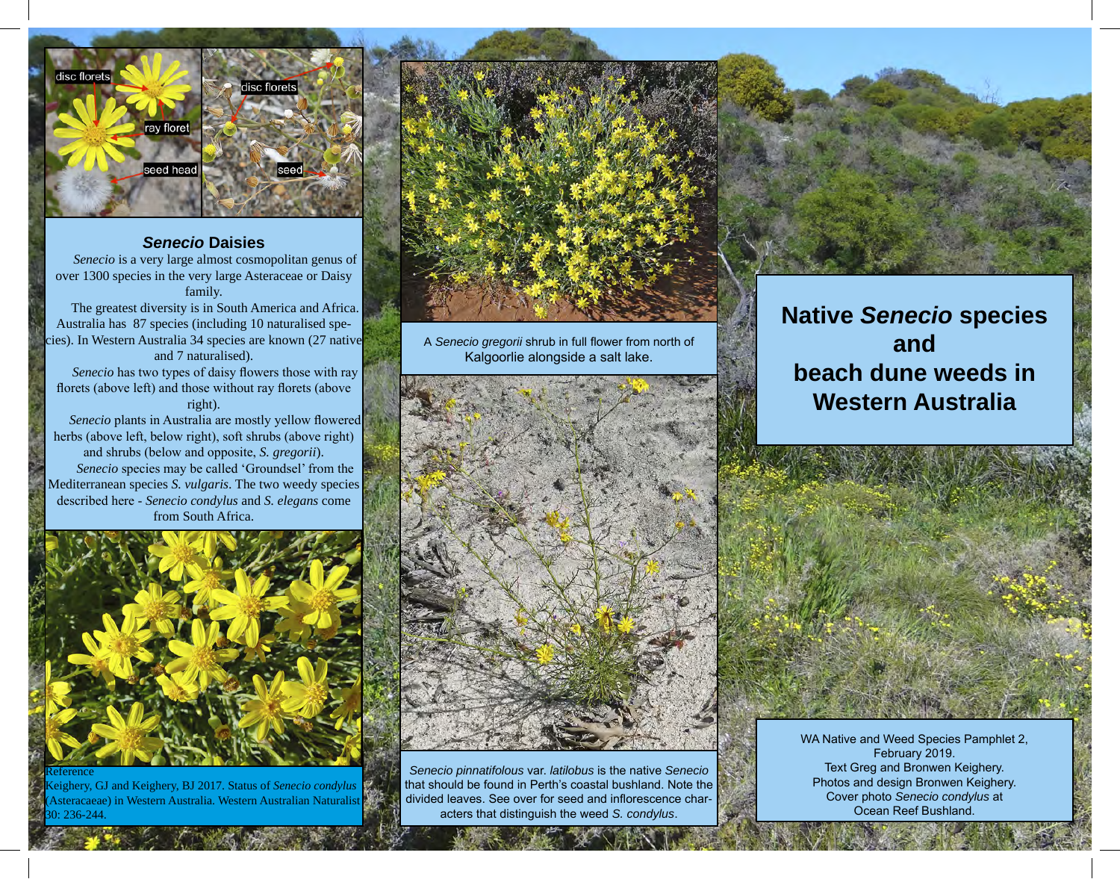

# *Senecio* **Daisies**

*Senecio* is a very large almost cosmopolitan genus of over 1300 species in the very large Asteraceae or Daisy family.

The greatest diversity is in South America and Africa. Australia has 87 species (including 10 naturalised species). In Western Australia 34 species are known (27 native and 7 naturalised).

*Senecio* has two types of daisy flowers those with ray florets (above left) and those without ray florets (above right).

*Senecio* plants in Australia are mostly yellow flowered herbs (above left, below right), soft shrubs (above right) and shrubs (below and opposite, *S. gregorii*). *Senecio* species may be called 'Groundsel' from the Mediterranean species *S. vulgaris*. The two weedy species described here - *Senecio condylus* and *S. elegans* come from South Africa.



Keighery, GJ and Keighery, BJ 2017. Status of *Senecio condylus*  (Asteracaeae) in Western Australia. Western Australian Naturalist 0: 236-244.



A *Senecio gregorii* shrub in full flower from north of Kalgoorlie alongside a salt lake.



*Senecio pinnatifolous* var. *latilobus* is the native *Senecio* that should be found in Perth's coastal bushland. Note the divided leaves. See over for seed and inflorescence characters that distinguish the weed *S. condylus*.



# **Native** *Senecio* **species and beach dune weeds in Western Australia**



WA Native and Weed Species Pamphlet 2, February 2019. Text Greg and Bronwen Keighery. Photos and design Bronwen Keighery. Cover photo *Senecio condylus* at Ocean Reef Bushland.